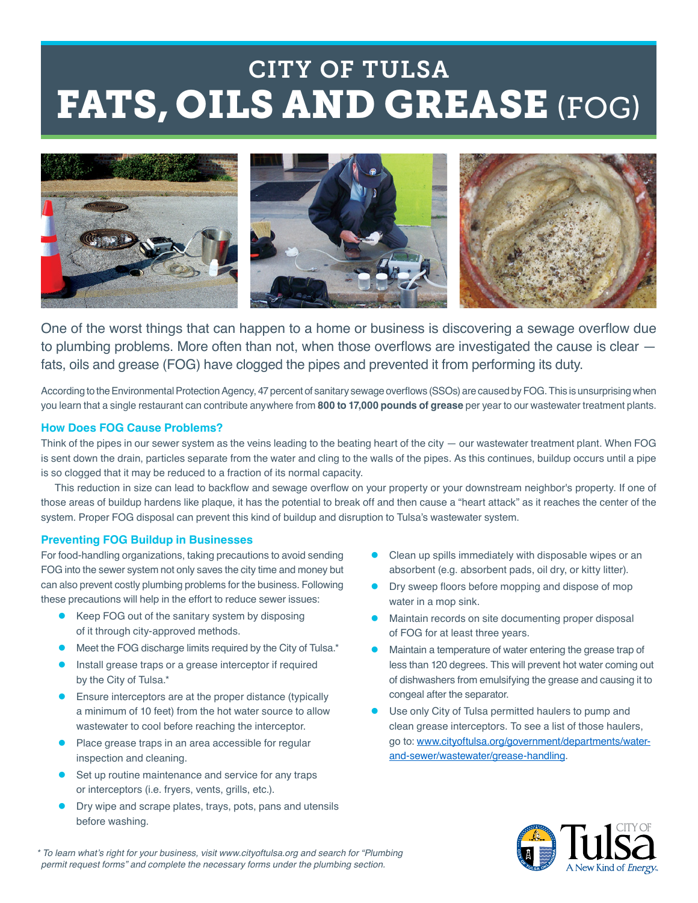## FATS, OILS AND GREASE (FOG) CITY OF TULSA



One of the worst things that can happen to a home or business is discovering a sewage overflow due to plumbing problems. More often than not, when those overflows are investigated the cause is clear fats, oils and grease (FOG) have clogged the pipes and prevented it from performing its duty.

According to the Environmental Protection Agency, 47 percent of sanitary sewage overflows (SSOs) are caused by FOG. This is unsurprising when you learn that a single restaurant can contribute anywhere from **800 to 17,000 pounds of grease** per year to our wastewater treatment plants.

#### **How Does FOG Cause Problems?**

Think of the pipes in our sewer system as the veins leading to the beating heart of the city — our wastewater treatment plant. When FOG is sent down the drain, particles separate from the water and cling to the walls of the pipes. As this continues, buildup occurs until a pipe is so clogged that it may be reduced to a fraction of its normal capacity.

This reduction in size can lead to backflow and sewage overflow on your property or your downstream neighbor's property. If one of those areas of buildup hardens like plaque, it has the potential to break off and then cause a "heart attack" as it reaches the center of the system. Proper FOG disposal can prevent this kind of buildup and disruption to Tulsa's wastewater system.

#### **Preventing FOG Buildup in Businesses**

For food-handling organizations, taking precautions to avoid sending FOG into the sewer system not only saves the city time and money but can also prevent costly plumbing problems for the business. Following these precautions will help in the effort to reduce sewer issues:

- Keep FOG out of the sanitary system by disposing of it through city-approved methods.
- Meet the FOG discharge limits required by the City of Tulsa.\*
- Install grease traps or a grease interceptor if required by the City of Tulsa.\*
- Ensure interceptors are at the proper distance (typically a minimum of 10 feet) from the hot water source to allow wastewater to cool before reaching the interceptor.
- Place grease traps in an area accessible for regular inspection and cleaning.
- Set up routine maintenance and service for any traps or interceptors (i.e. fryers, vents, grills, etc.).
- Dry wipe and scrape plates, trays, pots, pans and utensils before washing.
- Clean up spills immediately with disposable wipes or an absorbent (e.g. absorbent pads, oil dry, or kitty litter).
- Dry sweep floors before mopping and dispose of mop water in a mop sink.
- Maintain records on site documenting proper disposal of FOG for at least three years.
- Maintain a temperature of water entering the grease trap of less than 120 degrees. This will prevent hot water coming out of dishwashers from emulsifying the grease and causing it to congeal after the separator.
- Use only City of Tulsa permitted haulers to pump and clean grease interceptors. To see a list of those haulers, go to: [www.cityoftulsa.org/government/departments/water](http://www.cityoftulsa.org/government/departments/water-and-sewer/wastewater/grease-handling)[and-sewer/wastewater/grease-handling](http://www.cityoftulsa.org/government/departments/water-and-sewer/wastewater/grease-handling).



\* To learn what's right for your business, visit [www.cityoftulsa.org](http://www.cityoftulsa.org) and search for "Plumbing permit request forms" and complete the necessary forms under the plumbing section.